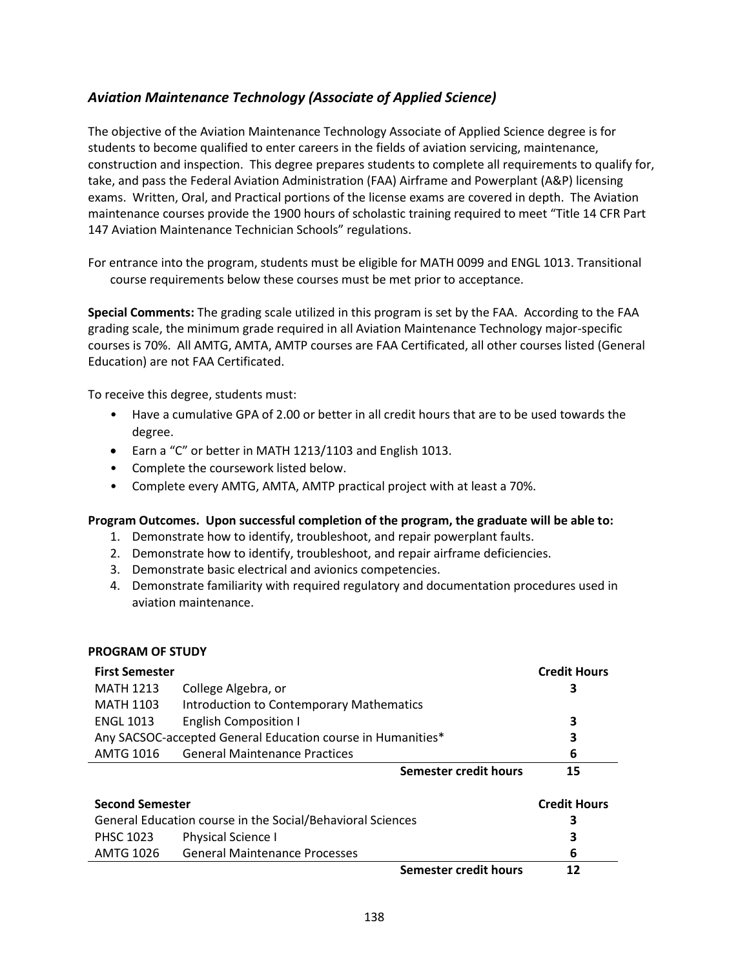## *Aviation Maintenance Technology (Associate of Applied Science)*

The objective of the Aviation Maintenance Technology Associate of Applied Science degree is for students to become qualified to enter careers in the fields of aviation servicing, maintenance, construction and inspection. This degree prepares students to complete all requirements to qualify for, take, and pass the Federal Aviation Administration (FAA) Airframe and Powerplant (A&P) licensing exams. Written, Oral, and Practical portions of the license exams are covered in depth. The Aviation maintenance courses provide the 1900 hours of scholastic training required to meet "Title 14 CFR Part 147 Aviation Maintenance Technician Schools" regulations.

For entrance into the program, students must be eligible for MATH 0099 and ENGL 1013. Transitional course requirements below these courses must be met prior to acceptance.

**Special Comments:** The grading scale utilized in this program is set by the FAA. According to the FAA grading scale, the minimum grade required in all Aviation Maintenance Technology major-specific courses is 70%. All AMTG, AMTA, AMTP courses are FAA Certificated, all other courses listed (General Education) are not FAA Certificated.

To receive this degree, students must:

- Have a cumulative GPA of 2.00 or better in all credit hours that are to be used towards the degree.
- Earn a "C" or better in MATH 1213/1103 and English 1013.
- Complete the coursework listed below.
- Complete every AMTG, AMTA, AMTP practical project with at least a 70%.

## **Program Outcomes. Upon successful completion of the program, the graduate will be able to:**

- 1. Demonstrate how to identify, troubleshoot, and repair powerplant faults.
- 2. Demonstrate how to identify, troubleshoot, and repair airframe deficiencies.
- 3. Demonstrate basic electrical and avionics competencies.
- 4. Demonstrate familiarity with required regulatory and documentation procedures used in aviation maintenance.

## **PROGRAM OF STUDY**

| <b>First Semester</b>                                       |                                                 | <b>Credit Hours</b> |
|-------------------------------------------------------------|-------------------------------------------------|---------------------|
| <b>MATH 1213</b>                                            | College Algebra, or                             | З                   |
| <b>MATH 1103</b>                                            | <b>Introduction to Contemporary Mathematics</b> |                     |
| <b>ENGL 1013</b>                                            | <b>English Composition I</b>                    | 3                   |
| Any SACSOC-accepted General Education course in Humanities* | 3                                               |                     |
| <b>AMTG 1016</b>                                            | <b>General Maintenance Practices</b>            | 6                   |
|                                                             | Semester credit hours                           | 15                  |
| <b>Second Semester</b>                                      | <b>Credit Hours</b>                             |                     |
| General Education course in the Social/Behavioral Sciences  | 3                                               |                     |
| <b>PHSC 1023</b>                                            | Physical Science I                              | 3                   |
| AMTG 1026                                                   | <b>General Maintenance Processes</b>            | 6                   |
|                                                             | <b>Semester credit hours</b>                    | 12                  |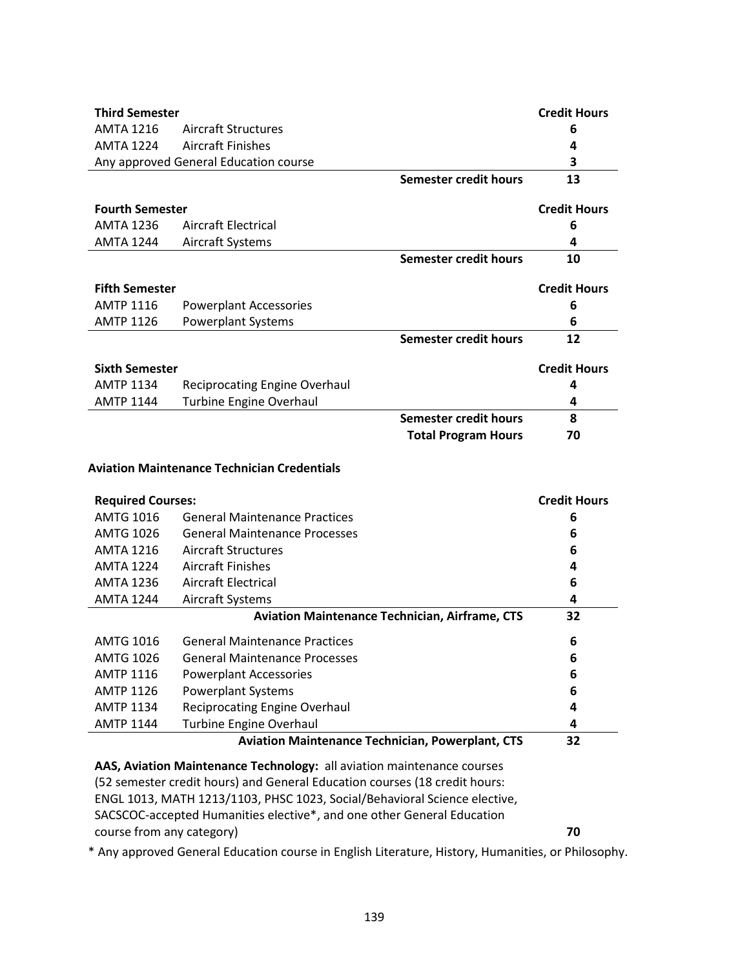| <b>Third Semester</b>                              |                                       |                              | <b>Credit Hours</b> |  |  |
|----------------------------------------------------|---------------------------------------|------------------------------|---------------------|--|--|
|                                                    |                                       |                              |                     |  |  |
| AMTA 1216                                          | Aircraft Structures                   |                              | 6                   |  |  |
| <b>AMTA 1224</b>                                   | <b>Aircraft Finishes</b>              |                              | 4                   |  |  |
|                                                    | Any approved General Education course |                              | 3                   |  |  |
|                                                    |                                       | Semester credit hours        | 13                  |  |  |
| <b>Fourth Semester</b>                             |                                       |                              | <b>Credit Hours</b> |  |  |
| AMTA 1236                                          | Aircraft Electrical                   |                              | 6                   |  |  |
| <b>AMTA 1244</b>                                   | Aircraft Systems                      |                              | 4                   |  |  |
|                                                    |                                       | Semester credit hours        | 10                  |  |  |
| <b>Fifth Semester</b>                              |                                       |                              | <b>Credit Hours</b> |  |  |
|                                                    |                                       |                              |                     |  |  |
| <b>AMTP 1116</b>                                   | <b>Powerplant Accessories</b>         |                              | 6                   |  |  |
| <b>AMTP 1126</b>                                   | <b>Powerplant Systems</b>             |                              | 6                   |  |  |
|                                                    |                                       | <b>Semester credit hours</b> | 12                  |  |  |
| <b>Sixth Semester</b>                              |                                       |                              | <b>Credit Hours</b> |  |  |
| <b>AMTP 1134</b>                                   | <b>Reciprocating Engine Overhaul</b>  |                              | 4                   |  |  |
| <b>AMTP 1144</b>                                   | <b>Turbine Engine Overhaul</b>        |                              | 4                   |  |  |
|                                                    |                                       | <b>Semester credit hours</b> | 8                   |  |  |
|                                                    |                                       | <b>Total Program Hours</b>   | 70                  |  |  |
| <b>Aviation Maintenance Technician Credentials</b> |                                       |                              |                     |  |  |

| <b>Required Courses:</b> | <b>Credit Hours</b>                                     |    |
|--------------------------|---------------------------------------------------------|----|
| <b>AMTG 1016</b>         | <b>General Maintenance Practices</b>                    | 6  |
| <b>AMTG 1026</b>         | General Maintenance Processes                           | 6  |
| <b>AMTA 1216</b>         | Aircraft Structures                                     | 6  |
| <b>AMTA 1224</b>         | Aircraft Finishes                                       | 4  |
| <b>AMTA 1236</b>         | Aircraft Electrical                                     | 6  |
| <b>AMTA 1244</b>         | Aircraft Systems                                        | 4  |
|                          | <b>Aviation Maintenance Technician, Airframe, CTS</b>   | 32 |
| <b>AMTG 1016</b>         | <b>General Maintenance Practices</b>                    | 6  |
| AMTG 1026                | <b>General Maintenance Processes</b>                    | 6  |
| <b>AMTP 1116</b>         | <b>Powerplant Accessories</b>                           | 6  |
| <b>AMTP 1126</b>         | <b>Powerplant Systems</b>                               | 6  |
| <b>AMTP 1134</b>         | <b>Reciprocating Engine Overhaul</b>                    | 4  |
| <b>AMTP 1144</b>         | <b>Turbine Engine Overhaul</b>                          | 4  |
|                          | <b>Aviation Maintenance Technician, Powerplant, CTS</b> | 32 |

**AAS, Aviation Maintenance Technology:** all aviation maintenance courses (52 semester credit hours) and General Education courses (18 credit hours: ENGL 1013, MATH 1213/1103, PHSC 1023, Social/Behavioral Science elective, SACSCOC-accepted Humanities elective\*, and one other General Education course from any category) **70**

\* Any approved General Education course in English Literature, History, Humanities, or Philosophy.